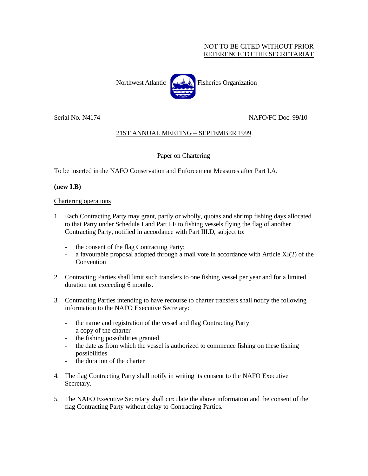## NOT TO BE CITED WITHOUT PRIOR REFERENCE TO THE SECRETARIAT



Serial No. N4174 NAFO/FC Doc. 99/10

# 21ST ANNUAL MEETING – SEPTEMBER 1999

### Paper on Chartering

To be inserted in the NAFO Conservation and Enforcement Measures after Part I.A.

### **(new I.B)**

#### Chartering operations

- 1. Each Contracting Party may grant, partly or wholly, quotas and shrimp fishing days allocated to that Party under Schedule I and Part I.F to fishing vessels flying the flag of another Contracting Party, notified in accordance with Part III.D, subject to:
	- the consent of the flag Contracting Party;
	- a favourable proposal adopted through a mail vote in accordance with Article XI(2) of the Convention
- 2. Contracting Parties shall limit such transfers to one fishing vessel per year and for a limited duration not exceeding 6 months.
- 3. Contracting Parties intending to have recourse to charter transfers shall notify the following information to the NAFO Executive Secretary:
	- the name and registration of the vessel and flag Contracting Party
	- a copy of the charter
	- the fishing possibilities granted
	- the date as from which the vessel is authorized to commence fishing on these fishing possibilities
	- the duration of the charter
- 4. The flag Contracting Party shall notify in writing its consent to the NAFO Executive Secretary.
- 5. The NAFO Executive Secretary shall circulate the above information and the consent of the flag Contracting Party without delay to Contracting Parties.